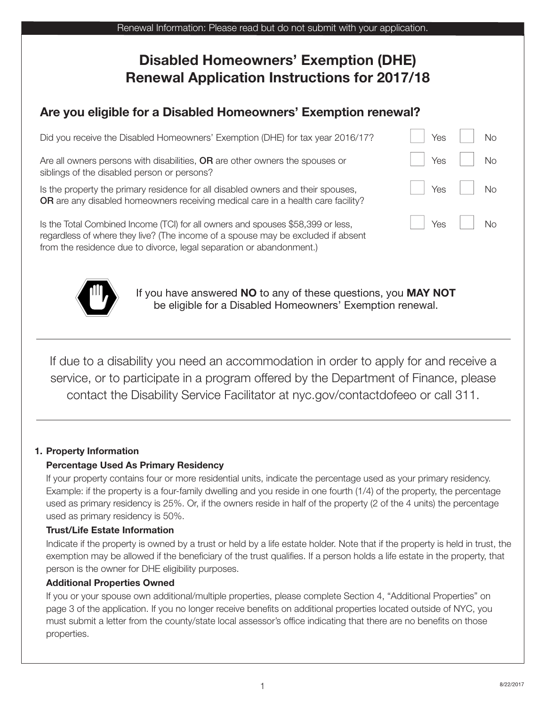| Renewal Information: Please read but do not submit with your application.                                                   |     |           |  |  |
|-----------------------------------------------------------------------------------------------------------------------------|-----|-----------|--|--|
| <b>Disabled Homeowners' Exemption (DHE)</b><br><b>Renewal Application Instructions for 2017/18</b>                          |     |           |  |  |
| Are you eligible for a Disabled Homeowners' Exemption renewal?                                                              |     |           |  |  |
| Did you receive the Disabled Homeowners' Exemption (DHE) for tax year 2016/17?                                              | Yes | <b>No</b> |  |  |
| Are all owners persons with disabilities, OR are other owners the spouses or<br>siblings of the disabled person or persons? | Yes | <b>No</b> |  |  |

Is the property the primary residence for all disabled owners and their spouses, n Yes n No **OR** are any disabled homeowners receiving medical care in a health care facility?

Is the Total Combined Income (TCI) for all owners and spouses \$58,399 or less,  $\vert$   $\vert$  Yes  $\vert$  No regardless of where they live? (The income of a spouse may be excluded if absent from the residence due to divorce, legal separation or abandonment.)



If you have answered **NO** to any of these questions, you **MAY NOT** be eligible for a Disabled Homeowners' Exemption renewal.

If due to a disability you need an accommodation in order to apply for and receive a service, or to participate in a program offered by the Department of Finance, please contact the Disability Service Facilitator at nyc.gov/contactdofeeo or call 311.

## **1. Property Information**

## **Percentage Used As Primary Residency**

If your property contains four or more residential units, indicate the percentage used as your primary residency. Example: if the property is a four-family dwelling and you reside in one fourth (1/4) of the property, the percentage used as primary residency is 25%. Or, if the owners reside in half of the property (2 of the 4 units) the percentage used as primary residency is 50%.

#### **Trust/Life Estate Information**

Indicate if the property is owned by a trust or held by a life estate holder. Note that if the property is held in trust, the exemption may be allowed if the beneficiary of the trust qualifies. If a person holds a life estate in the property, that person is the owner for DHE eligibility purposes.

#### **Additional Properties Owned**

If you or your spouse own additional/multiple properties, please complete Section 4, "Additional Properties" on page 3 of the application. If you no longer receive benefits on additional properties located outside of NYC, you must submit a letter from the county/state local assessor's office indicating that there are no benefits on those properties.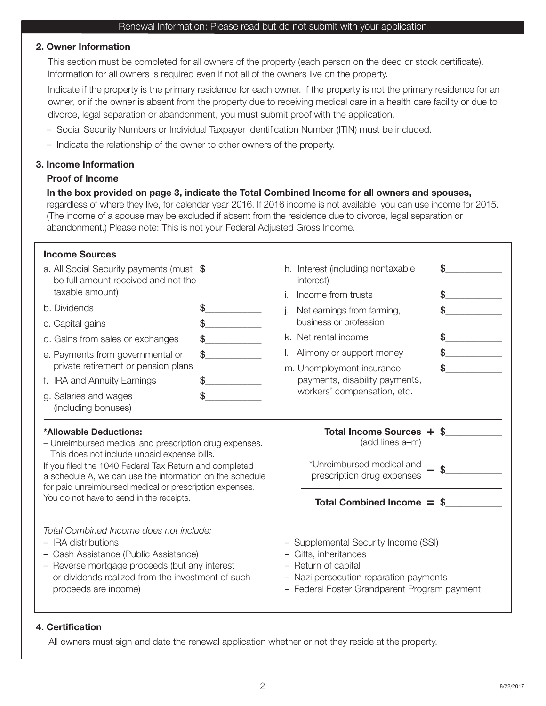#### **2. Owner Information**

 This section must be completed for all owners of the property (each person on the deed or stock certificate). Information for all owners is required even if not all of the owners live on the property.

 Indicate if the property is the primary residence for each owner. If the property is not the primary residence for an owner, or if the owner is absent from the property due to receiving medical care in a health care facility or due to divorce, legal separation or abandonment, you must submit proof with the application.

- Social Security Numbers or Individual Taxpayer Identification Number (ITIN) must be included.
- Indicate the relationship of the owner to other owners of the property.

#### **3. Income Information**

#### **Proof of Income**

#### **In the box provided on page 3, indicate the Total Combined Income for all owners and spouses,**

regardless of where they live, for calendar year 2016. If 2016 income is not available, you can use income for 2015. (The income of a spouse may be excluded if absent from the residence due to divorce, legal separation or abandonment.) Please note: This is not your Federal Adjusted Gross Income.

| <b>Income Sources</b>                                                                                                                                                                                                                                                                                                                                        |    |                           |                                                                                                                                                                                |    |
|--------------------------------------------------------------------------------------------------------------------------------------------------------------------------------------------------------------------------------------------------------------------------------------------------------------------------------------------------------------|----|---------------------------|--------------------------------------------------------------------------------------------------------------------------------------------------------------------------------|----|
| a. All Social Security payments (must \$<br>be full amount received and not the                                                                                                                                                                                                                                                                              |    |                           | h. Interest (including nontaxable<br>interest)                                                                                                                                 | \$ |
| taxable amount)                                                                                                                                                                                                                                                                                                                                              |    |                           | Income from trusts                                                                                                                                                             | \$ |
| b. Dividends                                                                                                                                                                                                                                                                                                                                                 | \$ |                           | Net earnings from farming,                                                                                                                                                     | \$ |
| c. Capital gains                                                                                                                                                                                                                                                                                                                                             | \$ |                           | business or profession                                                                                                                                                         |    |
| d. Gains from sales or exchanges                                                                                                                                                                                                                                                                                                                             | \$ |                           | k. Net rental income                                                                                                                                                           |    |
| e. Payments from governmental or                                                                                                                                                                                                                                                                                                                             | \$ |                           | Alimony or support money                                                                                                                                                       |    |
| private retirement or pension plans                                                                                                                                                                                                                                                                                                                          |    | m. Unemployment insurance |                                                                                                                                                                                |    |
| f. IRA and Annuity Earnings                                                                                                                                                                                                                                                                                                                                  | \$ |                           | payments, disability payments,                                                                                                                                                 |    |
| g. Salaries and wages<br>(including bonuses)                                                                                                                                                                                                                                                                                                                 | \$ |                           | workers' compensation, etc.                                                                                                                                                    |    |
| *Allowable Deductions:<br>- Unreimbursed medical and prescription drug expenses.<br>This does not include unpaid expense bills.<br>If you filed the 1040 Federal Tax Return and completed<br>a schedule A, we can use the information on the schedule<br>for paid unreimbursed medical or prescription expenses.<br>You do not have to send in the receipts. |    |                           | Total Income Sources + \$<br>(add lines a-m)<br>*Unreimbursed medical and<br>prescription drug expenses<br>Total Combined Income $=$ \$                                        | \$ |
| Total Combined Income does not include:<br>- IRA distributions<br>- Cash Assistance (Public Assistance)<br>- Reverse mortgage proceeds (but any interest<br>or dividends realized from the investment of such<br>proceeds are income)                                                                                                                        |    |                           | - Supplemental Security Income (SSI)<br>- Gifts, inheritances<br>- Return of capital<br>- Nazi persecution reparation payments<br>- Federal Foster Grandparent Program payment |    |

#### **4. Certification**

All owners must sign and date the renewal application whether or not they reside at the property.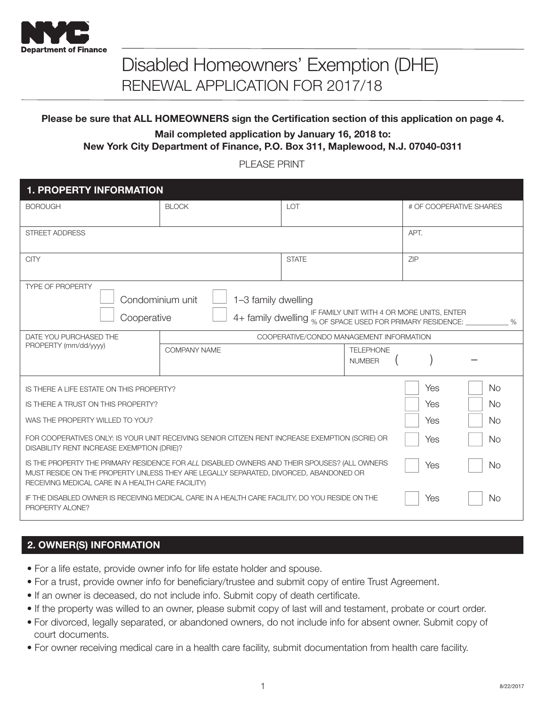

# Disabled Homeowners' Exemption (DHE) RENEWAL APPLICATION FOR 2017/18

## **Please be sure that ALL HOMEOWNERS sign the Certification section of this application on page 4.**

**Mail completed application by January 16, 2018 to: New York City Department of Finance, P.O. Box 311, Maplewood, N.J. 07040-0311**

PLEASE PRINT

| <b>1. PROPERTY INFORMATION</b>                                                                                                                                                                                                                                 |                                                          |                                          |  |      |                         |
|----------------------------------------------------------------------------------------------------------------------------------------------------------------------------------------------------------------------------------------------------------------|----------------------------------------------------------|------------------------------------------|--|------|-------------------------|
| <b>BOROUGH</b>                                                                                                                                                                                                                                                 | <b>BLOCK</b>                                             | LOT                                      |  |      | # OF COOPERATIVE SHARES |
| <b>STREET ADDRESS</b>                                                                                                                                                                                                                                          |                                                          |                                          |  | APT. |                         |
| <b>CITY</b>                                                                                                                                                                                                                                                    |                                                          | <b>STATE</b>                             |  | ZIP  |                         |
| <b>TYPE OF PROPERTY</b><br>Condominium unit<br>1-3 family dwelling<br>IF FAMILY UNIT WITH 4 OR MORE UNITS, ENTER<br>4+ family dwelling % OF SPACE USED FOR PRIMARY RESIDENCE:<br>Cooperative<br>$\%$                                                           |                                                          |                                          |  |      |                         |
| DATE YOU PURCHASED THE                                                                                                                                                                                                                                         |                                                          | COOPERATIVE/CONDO MANAGEMENT INFORMATION |  |      |                         |
| PROPERTY (mm/dd/yyyy)                                                                                                                                                                                                                                          | <b>COMPANY NAME</b><br><b>TELEPHONE</b><br><b>NUMBER</b> |                                          |  |      |                         |
| IS THERE A LIFE ESTATE ON THIS PROPERTY?                                                                                                                                                                                                                       |                                                          |                                          |  | Yes  | <b>No</b>               |
| IS THERE A TRUST ON THIS PROPERTY?                                                                                                                                                                                                                             |                                                          |                                          |  | Yes  | <b>No</b>               |
| WAS THE PROPERTY WILLED TO YOU?                                                                                                                                                                                                                                |                                                          |                                          |  |      | No                      |
| FOR COOPERATIVES ONLY: IS YOUR UNIT RECEIVING SENIOR CITIZEN RENT INCREASE EXEMPTION (SCRIE) OR<br>Yes<br>DISABILITY RENT INCREASE EXEMPTION (DRIE)?                                                                                                           |                                                          |                                          |  |      | No                      |
| IS THE PROPERTY THE PRIMARY RESIDENCE FOR ALL DISABLED OWNERS AND THEIR SPOUSES? (ALL OWNERS<br>Yes<br><b>No</b><br>MUST RESIDE ON THE PROPERTY UNLESS THEY ARE LEGALLY SEPARATED, DIVORCED, ABANDONED OR<br>RECEIVING MEDICAL CARE IN A HEALTH CARE FACILITY) |                                                          |                                          |  |      |                         |
| IF THE DISABLED OWNER IS RECEIVING MEDICAL CARE IN A HEALTH CARE FACILITY, DO YOU RESIDE ON THE<br><b>No</b><br>Yes<br>PROPERTY ALONE?                                                                                                                         |                                                          |                                          |  |      |                         |

## **2. OWNER(S) INFORMATION**

- For a life estate, provide owner info for life estate holder and spouse.
- For a trust, provide owner info for beneficiary/trustee and submit copy of entire Trust Agreement.
- If an owner is deceased, do not include info. Submit copy of death certificate.
- If the property was willed to an owner, please submit copy of last will and testament, probate or court order.
- For divorced, legally separated, or abandoned owners, do not include info for absent owner. Submit copy of court documents.
- For owner receiving medical care in a health care facility, submit documentation from health care facility.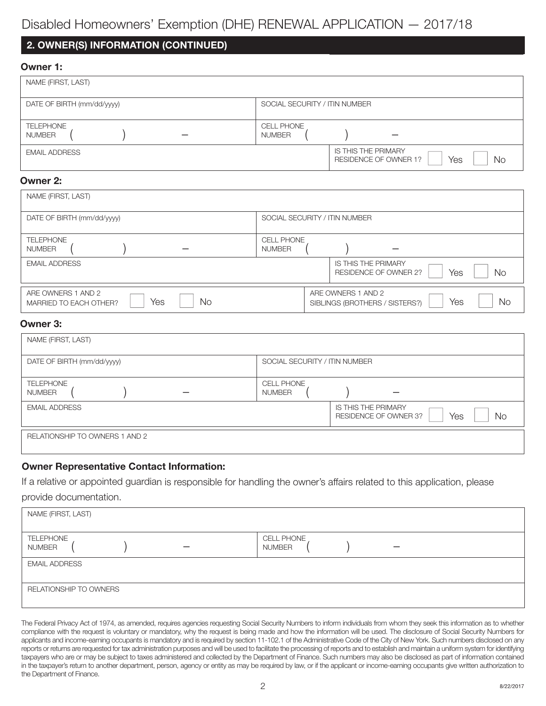## Disabled Homeowners' Exemption (DHE) RENEWAL APPLICATION — 2017/18

## **2. OWNER(S) INFORMATION (CONTINUED)**

#### **Owner 1:**

| NAME (FIRST, LAST)                |                                                                  |
|-----------------------------------|------------------------------------------------------------------|
| DATE OF BIRTH (mm/dd/yyyy)        | SOCIAL SECURITY / ITIN NUMBER                                    |
| <b>TELEPHONE</b><br><b>NUMBER</b> | <b>CELL PHONE</b><br><b>NUMBER</b>                               |
| <b>EMAIL ADDRESS</b>              | <b>IS THIS THE PRIMARY</b><br>Yes<br>No<br>RESIDENCE OF OWNER 1? |

#### **Owner 2:**

| NAME (FIRST, LAST)                                               |                                                                          |
|------------------------------------------------------------------|--------------------------------------------------------------------------|
| DATE OF BIRTH (mm/dd/yyyy)                                       | SOCIAL SECURITY / ITIN NUMBER                                            |
| <b>TELEPHONE</b><br><b>NUMBER</b>                                | <b>CELL PHONE</b><br><b>NUMBER</b>                                       |
| <b>EMAIL ADDRESS</b>                                             | <b>IS THIS THE PRIMARY</b><br>No.<br>Yes<br><b>RESIDENCE OF OWNER 2?</b> |
| ARE OWNERS 1 AND 2<br>Yes<br><b>No</b><br>MARRIED TO EACH OTHER? | ARE OWNERS 1 AND 2<br>Yes<br>No.<br>SIBLINGS (BROTHERS / SISTERS?)       |

## **Owner 3:**

| NAME (FIRST, LAST)                |                                                                         |
|-----------------------------------|-------------------------------------------------------------------------|
| DATE OF BIRTH (mm/dd/yyyy)        | SOCIAL SECURITY / ITIN NUMBER                                           |
| <b>TELEPHONE</b><br><b>NUMBER</b> | <b>CELL PHONE</b><br><b>NUMBER</b>                                      |
| <b>EMAIL ADDRESS</b>              | <b>IS THIS THE PRIMARY</b><br>Yes<br><b>No</b><br>RESIDENCE OF OWNER 3? |
| RELATIONSHIP TO OWNERS 1 AND 2    |                                                                         |

## **Owner Representative Contact Information:**

If <sup>a</sup> relative or appointed guardian is responsible for handling the owner's affairs related to this application, please provide documentation.

| NAME (FIRST, LAST)                |                                    |
|-----------------------------------|------------------------------------|
| <b>TELEPHONE</b><br><b>NUMBER</b> | <b>CELL PHONE</b><br><b>NUMBER</b> |
| <b>EMAIL ADDRESS</b>              |                                    |
| RELATIONSHIP TO OWNERS            |                                    |

The Federal Privacy Act of 1974, as amended, requires agencies requesting Social Security Numbers to inform individuals from whom they seek this information as to whether compliance with the request is voluntary or mandatory, why the request is being made and how the information will be used. The disclosure of Social Security Numbers for applicants and income-earning occupants is mandatory and is required by section 11-102.1 of the Administrative Code of the City of New York. Such numbers disclosed on any reports or returns are requested for tax administration purposes and will be used to facilitate the processing of reports and to establish and maintain a uniform system for identifying taxpayers who are or may be subject to taxes administered and collected by the Department of Finance. Such numbers may also be disclosed as part of information contained in the taxpayer's return to another department, person, agency or entity as may be required by law, or if the applicant or income-earning occupants give written authorization to the Department of Finance.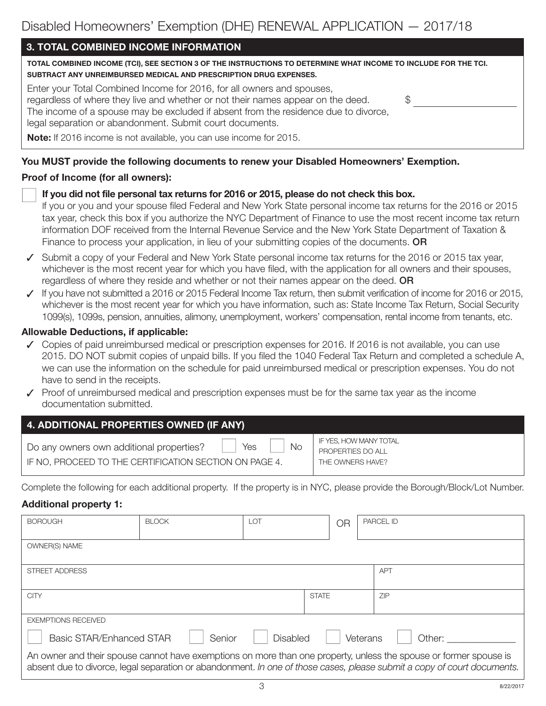## **3. TOTAL COMBINED INCOME INFORMATION**

| <u>u. IUIAE UUMPINED INUUME INI UNIMATIUN</u>                                                                                                                                                                                                                                                                                                                                               |  |
|---------------------------------------------------------------------------------------------------------------------------------------------------------------------------------------------------------------------------------------------------------------------------------------------------------------------------------------------------------------------------------------------|--|
| TOTAL COMBINED INCOME (TCI), SEE SECTION 3 OF THE INSTRUCTIONS TO DETERMINE WHAT INCOME TO INCLUDE FOR THE TCI.<br>SUBTRACT ANY UNREIMBURSED MEDICAL AND PRESCRIPTION DRUG EXPENSES.                                                                                                                                                                                                        |  |
| Enter your Total Combined Income for 2016, for all owners and spouses,<br>regardless of where they live and whether or not their names appear on the deed.<br>The income of a spouse may be excluded if absent from the residence due to divorce,<br>legal separation or abandonment. Submit court documents.<br><b>Note:</b> If 2016 income is not available, you can use income for 2015. |  |
|                                                                                                                                                                                                                                                                                                                                                                                             |  |

## **You MUST provide the following documents to renew your Disabled Homeowners' Exemption.**

## **Proof of Income (for all owners):**

## n **If you did not file personal tax returns for <sup>2016</sup> or 2015, please do not check this box.**

If you or you and your spouse filed Federal and New York State personal income tax returns for the 2016 or 2015 tax year, check this box if you authorize the NYC Department of Finance to use the most recent income tax return information DOF received from the Internal Revenue Service and the New York State Department of Taxation & Finance to process your application, in lieu of your submitting copies of the documents. **OR**

- ✓ Submit a copy of your Federal and New York State personal income tax returns for the 2016 or 2015 tax year, whichever is the most recent year for which you have filed, with the application for all owners and their spouses, regardless of where they reside and whether or not their names appear on the deed. **OR**
- ✓ If you have not submitted a 2016 or 2015 Federal Income Tax return, then submit verification of income for 2016 or 2015, whichever is the most recent year for which you have information, such as: State Income Tax Return, Social Security 1099(s), 1099s, pension, annuities, alimony, unemployment, workers' compensation, rental income from tenants, etc.

#### **Allowable Deductions, if applicable:**

- ✓ Copies of paid unreimbursed medical or prescription expenses for 2016. If 2016 is not available, you can use 2015. DO NOT submit copies of unpaid bills. If you filed the 1040 Federal Tax Return and completed a schedule A, we can use the information on the schedule for paid unreimbursed medical or prescription expenses. You do not have to send in the receipts.
- ✓ Proof of unreimbursed medical and prescription expenses must be for the same tax year as the income documentation submitted.

| 4. ADDITIONAL PROPERTIES OWNED (IF ANY)                                                                                |                                                                 |  |  |  |  |
|------------------------------------------------------------------------------------------------------------------------|-----------------------------------------------------------------|--|--|--|--|
| <b>No</b><br>Yes<br>Do any owners own additional properties?<br>IF NO, PROCEED TO THE CERTIFICATION SECTION ON PAGE 4. | IF YES, HOW MANY TOTAL<br>PROPERTIES DO ALL<br>THE OWNERS HAVE? |  |  |  |  |

Complete the following for each additional property. If the property is in NYC, please provide the Borough/Block/Lot Number.

## **Additional property 1:**

| <b>BOROUGH</b>                                                                                                                                                                                                                               | <b>BLOCK</b> | <b>LOT</b>      |              | OR | <b>PARCEL ID</b> |        |
|----------------------------------------------------------------------------------------------------------------------------------------------------------------------------------------------------------------------------------------------|--------------|-----------------|--------------|----|------------------|--------|
| OWNER(S) NAME                                                                                                                                                                                                                                |              |                 |              |    |                  |        |
| <b>STREET ADDRESS</b>                                                                                                                                                                                                                        |              |                 |              |    | <b>APT</b>       |        |
| <b>CITY</b>                                                                                                                                                                                                                                  |              |                 | <b>STATE</b> |    | <b>ZIP</b>       |        |
| <b>EXEMPTIONS RECEIVED</b>                                                                                                                                                                                                                   |              |                 |              |    |                  |        |
| <b>Basic STAR/Enhanced STAR</b>                                                                                                                                                                                                              | Senior       | <b>Disabled</b> |              |    | Veterans         | Other: |
| An owner and their spouse cannot have exemptions on more than one property, unless the spouse or former spouse is<br>absent due to divorce, legal separation or abandonment. In one of those cases, please submit a copy of court documents. |              |                 |              |    |                  |        |